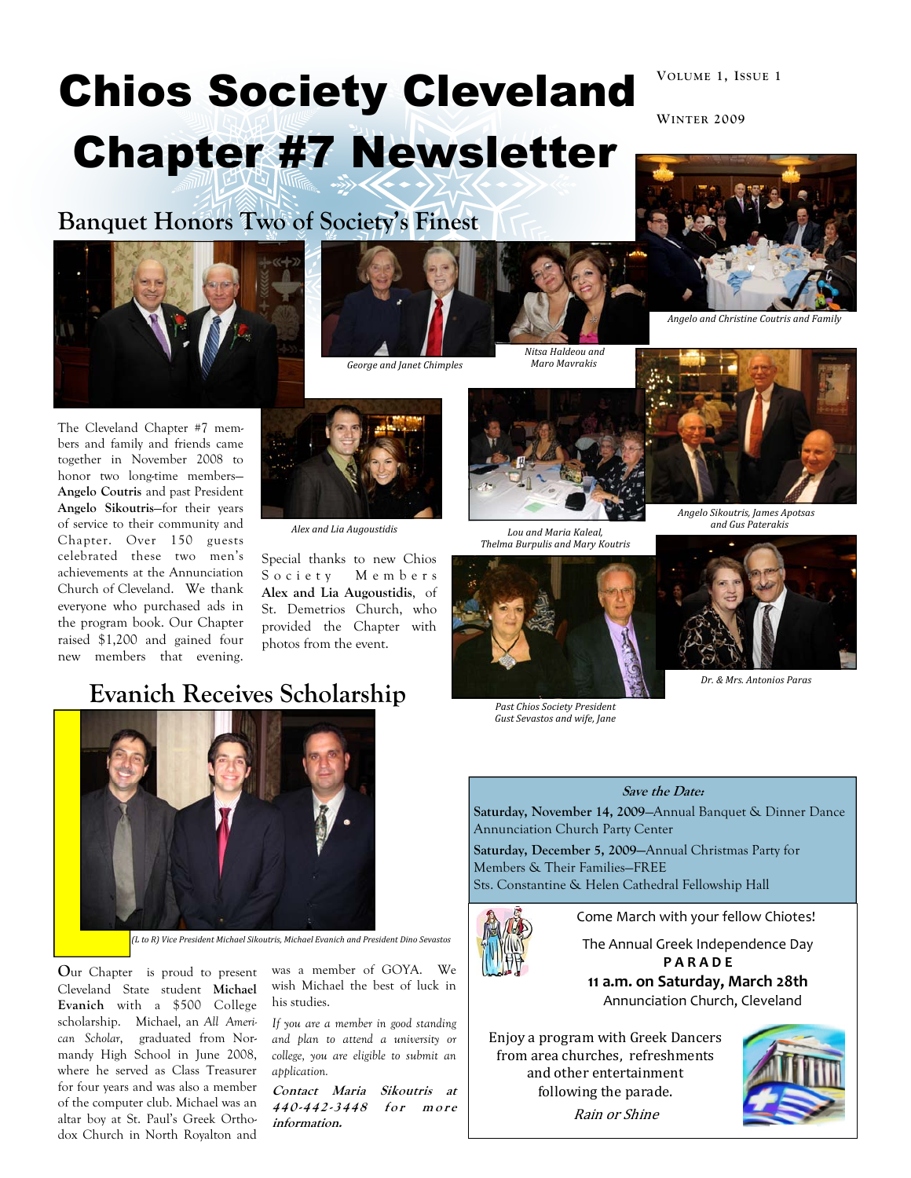# Chios Society Cleveland Chapter #7 Newsletter

# Banquet Honors Two of Society's Finest





George and Janet Chimples

Nitsa Haldeou and Maro Mavrakis



VOLUME 1, ISSUE 1

WINTER 2009

The Cleveland Chapter #7 members and family and friends came together in November 2008 to honor two long-time members— Angelo Coutris and past President Angelo Sikoutris—for their years of service to their community and Chapter. Over 150 guests celebrated these two men's achievements at the Annunciation Church of Cleveland. We thank everyone who purchased ads in the program book. Our Chapter raised \$1,200 and gained four new members that evening.



Alex and Lia Augoustidis

Special thanks to new Chios Society Members Alex and Lia Augoustidis, of St. Demetrios Church, who provided the Chapter with photos from the event.

### Evanich Receives Scholarship



(L to R) Vice President Michael Sikoutris, Michael Evanich and President Dino Sevastos

Our Chapter is proud to present Cleveland State student Michael Evanich with a \$500 College scholarship. Michael, an All American Scholar, graduated from Normandy High School in June 2008, where he served as Class Treasurer for four years and was also a member of the computer club. Michael was an altar boy at St. Paul's Greek Orthodox Church in North Royalton and

was a member of GOYA. We wish Michael the best of luck in his studies.

If you are a member in good standing and plan to attend a university or college, you are eligible to submit an application.

Contact Maria Sikoutris at 440-442-3448 for more information.

Lou and Maria Kaleal, Thelma Burpulis and Mary Koutris



Past Chios Society President Gust Sevastos and wife, Jane





Dr. & Mrs. Antonios Paras

### Save the Date:

Saturday, November 14, 2009—Annual Banquet & Dinner Dance Annunciation Church Party Center

Saturday, December 5, 2009—Annual Christmas Party for Members & Their Families—FREE Sts. Constantine & Helen Cathedral Fellowship Hall



Come March with your fellow Chiotes!

The Annual Greek Independence Day **PARADE** 

11 a.m. on Saturday, March 28th Annunciation Church, Cleveland

Enjoy a program with Greek Dancers from area churches, refreshments and other entertainment following the parade.



Rain or Shine



Angelo and Christine Coutris and Family